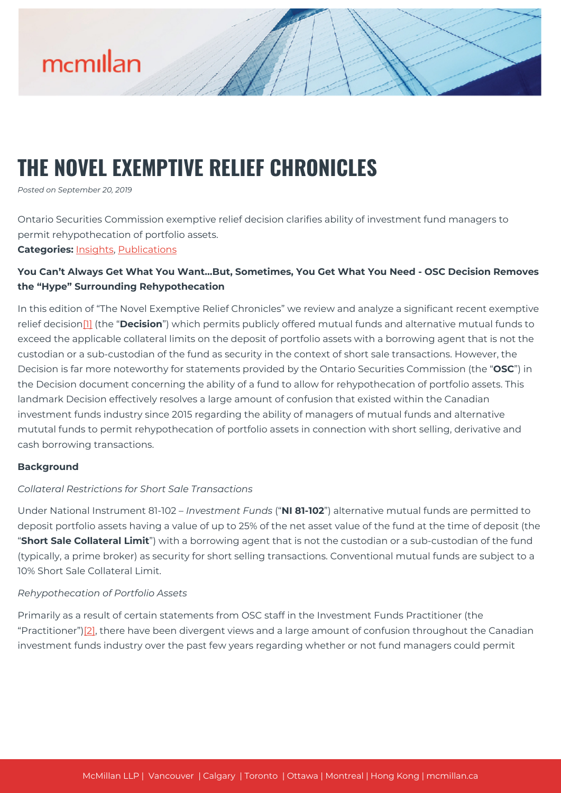

### **THE NOVEL EXEMPTIVE RELIEF CHRONICLES**

*Posted on September 20, 2019*

Ontario Securities Commission exemptive relief decision clarifies ability of investment fund managers to permit rehypothecation of portfolio assets.

**Categories:** [Insights,](https://mcmillan.ca/insights/) [Publications](https://mcmillan.ca/insights/publications/)

#### **You Can't Always Get What You Want…But, Sometimes, You Get What You Need - OSC Decision Removes the "Hype" Surrounding Rehypothecation**

In this edition of "The Novel Exemptive Relief Chronicles" we review and analyze a significant recent exemptive relief decision[\[1\]](#page--1-0) (the "**Decision**") which permits publicly offered mutual funds and alternative mutual funds to exceed the applicable collateral limits on the deposit of portfolio assets with a borrowing agent that is not the custodian or a sub-custodian of the fund as security in the context of short sale transactions. However, the Decision is far more noteworthy for statements provided by the Ontario Securities Commission (the "**OSC**") in the Decision document concerning the ability of a fund to allow for rehypothecation of portfolio assets. This landmark Decision effectively resolves a large amount of confusion that existed within the Canadian investment funds industry since 2015 regarding the ability of managers of mutual funds and alternative mututal funds to permit rehypothecation of portfolio assets in connection with short selling, derivative and cash borrowing transactions.

#### **Background**

#### *Collateral Restrictions for Short Sale Transactions*

Under National Instrument 81-102 – *Investment Funds* ("**NI 81-102**") alternative mutual funds are permitted to deposit portfolio assets having a value of up to 25% of the net asset value of the fund at the time of deposit (the "**Short Sale Collateral Limit**") with a borrowing agent that is not the custodian or a sub-custodian of the fund (typically, a prime broker) as security for short selling transactions. Conventional mutual funds are subject to a 10% Short Sale Collateral Limit.

#### *Rehypothecation of Portfolio Assets*

Primarily as a result of certain statements from OSC staff in the Investment Funds Practitioner (the "Practitioner") $[2]$ , there have been divergent views and a large amount of confusion throughout the Canadian investment funds industry over the past few years regarding whether or not fund managers could permit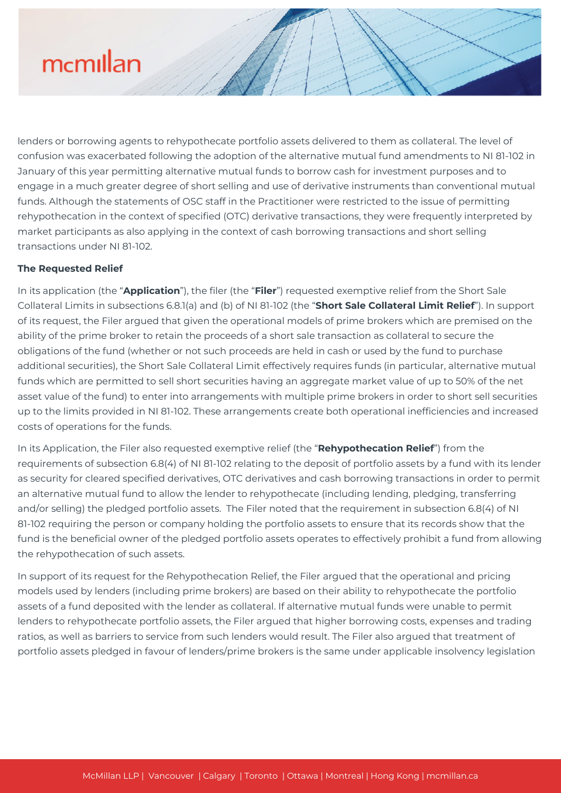# mcmillan

lenders or borrowing agents to rehypothecate portfolio assets delivered to them as collateral. The level of confusion was exacerbated following the adoption of the alternative mutual fund amendments to NI 81-102 in January of this year permitting alternative mutual funds to borrow cash for investment purposes and to engage in a much greater degree of short selling and use of derivative instruments than conventional mutual funds. Although the statements of OSC staff in the Practitioner were restricted to the issue of permitting rehypothecation in the context of specified (OTC) derivative transactions, they were frequently interpreted by market participants as also applying in the context of cash borrowing transactions and short selling transactions under NI 81-102.

#### **The Requested Relief**

In its application (the "**Application**"), the filer (the "**Filer**") requested exemptive relief from the Short Sale Collateral Limits in subsections 6.8.1(a) and (b) of NI 81-102 (the "**Short Sale Collateral Limit Relief**"). In support of its request, the Filer argued that given the operational models of prime brokers which are premised on the ability of the prime broker to retain the proceeds of a short sale transaction as collateral to secure the obligations of the fund (whether or not such proceeds are held in cash or used by the fund to purchase additional securities), the Short Sale Collateral Limit effectively requires funds (in particular, alternative mutual funds which are permitted to sell short securities having an aggregate market value of up to 50% of the net asset value of the fund) to enter into arrangements with multiple prime brokers in order to short sell securities up to the limits provided in NI 81-102. These arrangements create both operational inefficiencies and increased costs of operations for the funds.

In its Application, the Filer also requested exemptive relief (the "**Rehypothecation Relief**") from the requirements of subsection 6.8(4) of NI 81-102 relating to the deposit of portfolio assets by a fund with its lender as security for cleared specified derivatives, OTC derivatives and cash borrowing transactions in order to permit an alternative mutual fund to allow the lender to rehypothecate (including lending, pledging, transferring and/or selling) the pledged portfolio assets. The Filer noted that the requirement in subsection 6.8(4) of NI 81-102 requiring the person or company holding the portfolio assets to ensure that its records show that the fund is the beneficial owner of the pledged portfolio assets operates to effectively prohibit a fund from allowing the rehypothecation of such assets.

In support of its request for the Rehypothecation Relief, the Filer argued that the operational and pricing models used by lenders (including prime brokers) are based on their ability to rehypothecate the portfolio assets of a fund deposited with the lender as collateral. If alternative mutual funds were unable to permit lenders to rehypothecate portfolio assets, the Filer argued that higher borrowing costs, expenses and trading ratios, as well as barriers to service from such lenders would result. The Filer also argued that treatment of portfolio assets pledged in favour of lenders/prime brokers is the same under applicable insolvency legislation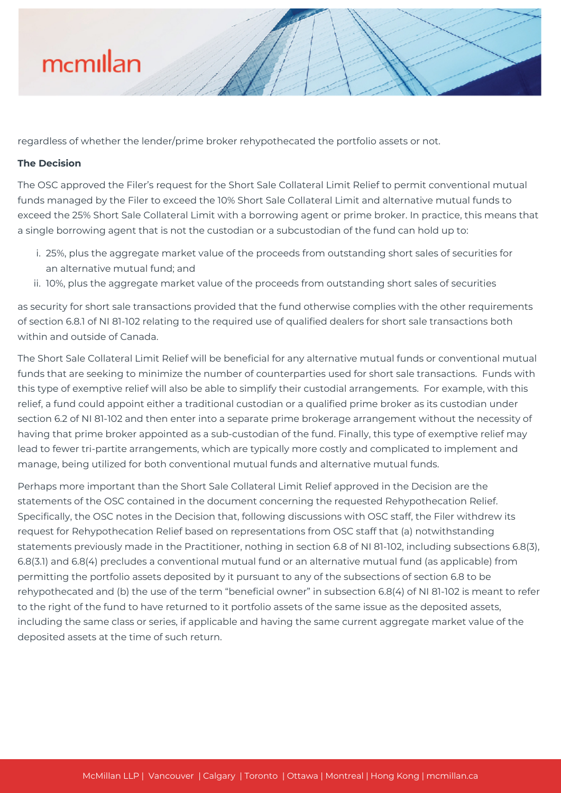# mcmillan

regardless of whether the lender/prime broker rehypothecated the portfolio assets or not.

#### **The Decision**

The OSC approved the Filer's request for the Short Sale Collateral Limit Relief to permit conventional mutual funds managed by the Filer to exceed the 10% Short Sale Collateral Limit and alternative mutual funds to exceed the 25% Short Sale Collateral Limit with a borrowing agent or prime broker. In practice, this means that a single borrowing agent that is not the custodian or a subcustodian of the fund can hold up to:

- i. 25%, plus the aggregate market value of the proceeds from outstanding short sales of securities for an alternative mutual fund; and
- ii. 10%, plus the aggregate market value of the proceeds from outstanding short sales of securities

as security for short sale transactions provided that the fund otherwise complies with the other requirements of section 6.8.1 of NI 81-102 relating to the required use of qualified dealers for short sale transactions both within and outside of Canada.

The Short Sale Collateral Limit Relief will be beneficial for any alternative mutual funds or conventional mutual funds that are seeking to minimize the number of counterparties used for short sale transactions. Funds with this type of exemptive relief will also be able to simplify their custodial arrangements. For example, with this relief, a fund could appoint either a traditional custodian or a qualified prime broker as its custodian under section 6.2 of NI 81-102 and then enter into a separate prime brokerage arrangement without the necessity of having that prime broker appointed as a sub-custodian of the fund. Finally, this type of exemptive relief may lead to fewer tri-partite arrangements, which are typically more costly and complicated to implement and manage, being utilized for both conventional mutual funds and alternative mutual funds.

Perhaps more important than the Short Sale Collateral Limit Relief approved in the Decision are the statements of the OSC contained in the document concerning the requested Rehypothecation Relief. Specifically, the OSC notes in the Decision that, following discussions with OSC staff, the Filer withdrew its request for Rehypothecation Relief based on representations from OSC staff that (a) notwithstanding statements previously made in the Practitioner, nothing in section 6.8 of NI 81-102, including subsections 6.8(3), 6.8(3.1) and 6.8(4) precludes a conventional mutual fund or an alternative mutual fund (as applicable) from permitting the portfolio assets deposited by it pursuant to any of the subsections of section 6.8 to be rehypothecated and (b) the use of the term "beneficial owner" in subsection 6.8(4) of NI 81-102 is meant to refer to the right of the fund to have returned to it portfolio assets of the same issue as the deposited assets, including the same class or series, if applicable and having the same current aggregate market value of the deposited assets at the time of such return.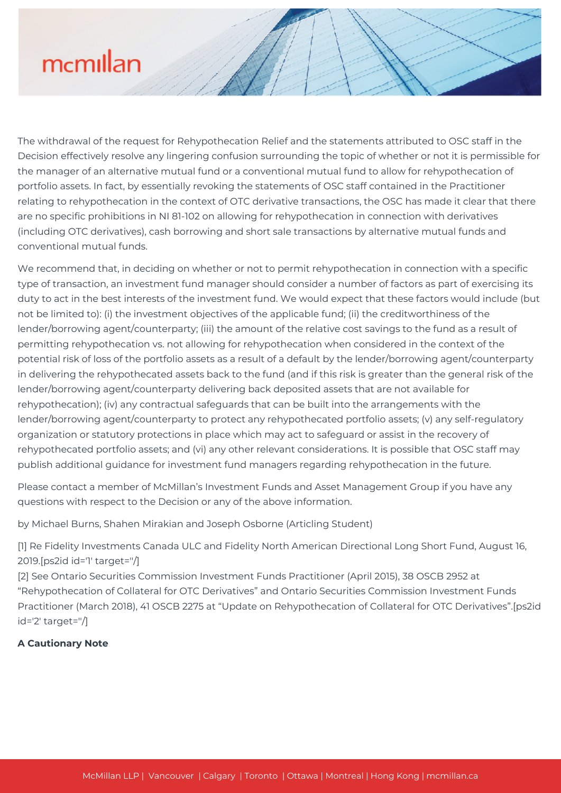# mcmillan

The withdrawal of the request for Rehypothecation Relief and the statements attributed to OSC staff in the Decision effectively resolve any lingering confusion surrounding the topic of whether or not it is permissible for the manager of an alternative mutual fund or a conventional mutual fund to allow for rehypothecation of portfolio assets. In fact, by essentially revoking the statements of OSC staff contained in the Practitioner relating to rehypothecation in the context of OTC derivative transactions, the OSC has made it clear that there are no specific prohibitions in NI 81-102 on allowing for rehypothecation in connection with derivatives (including OTC derivatives), cash borrowing and short sale transactions by alternative mutual funds and conventional mutual funds.

We recommend that, in deciding on whether or not to permit rehypothecation in connection with a specific type of transaction, an investment fund manager should consider a number of factors as part of exercising its duty to act in the best interests of the investment fund. We would expect that these factors would include (but not be limited to): (i) the investment objectives of the applicable fund; (ii) the creditworthiness of the lender/borrowing agent/counterparty; (iii) the amount of the relative cost savings to the fund as a result of permitting rehypothecation vs. not allowing for rehypothecation when considered in the context of the potential risk of loss of the portfolio assets as a result of a default by the lender/borrowing agent/counterparty in delivering the rehypothecated assets back to the fund (and if this risk is greater than the general risk of the lender/borrowing agent/counterparty delivering back deposited assets that are not available for rehypothecation); (iv) any contractual safeguards that can be built into the arrangements with the lender/borrowing agent/counterparty to protect any rehypothecated portfolio assets; (v) any self-regulatory organization or statutory protections in place which may act to safeguard or assist in the recovery of rehypothecated portfolio assets; and (vi) any other relevant considerations. It is possible that OSC staff may publish additional guidance for investment fund managers regarding rehypothecation in the future.

Please contact a member of McMillan's Investment Funds and Asset Management Group if you have any questions with respect to the Decision or any of the above information.

by Michael Burns, Shahen Mirakian and Joseph Osborne (Articling Student)

[1] Re Fidelity Investments Canada ULC and Fidelity North American Directional Long Short Fund, August 16, 2019.[ps2id id='1' target=''/]

[2] See Ontario Securities Commission Investment Funds Practitioner (April 2015), 38 OSCB 2952 at "Rehypothecation of Collateral for OTC Derivatives" and Ontario Securities Commission Investment Funds Practitioner (March 2018), 41 OSCB 2275 at "Update on Rehypothecation of Collateral for OTC Derivatives".[ps2id id='2' target=''/]

#### **A Cautionary Note**